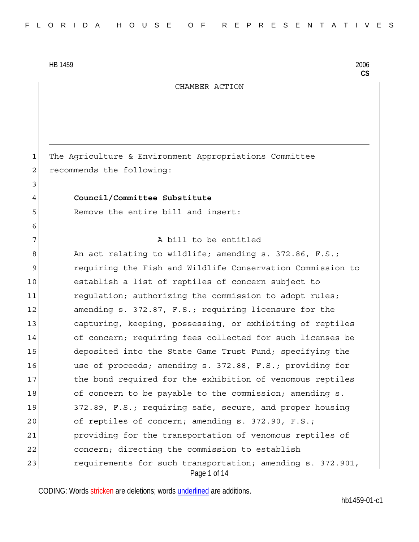3

6

CHAMBER ACTION

1 The Agriculture & Environment Appropriations Committee 2 recommends the following:

## 4 **Council/Committee Substitute**

5 Remove the entire bill and insert:

#### 7 a bill to be entitled

Page 1 of 14 8 An act relating to wildlife; amending s. 372.86, F.S.; 9 requiring the Fish and Wildlife Conservation Commission to 10 establish a list of reptiles of concern subject to 11 regulation; authorizing the commission to adopt rules; 12 amending s. 372.87, F.S.; requiring licensure for the 13 capturing, keeping, possessing, or exhibiting of reptiles 14 of concern; requiring fees collected for such licenses be 15 deposited into the State Game Trust Fund; specifying the 16 use of proceeds; amending s. 372.88, F.S.; providing for 17 17 the bond required for the exhibition of venomous reptiles 18 of concern to be payable to the commission; amending s. 19 372.89, F.S.; requiring safe, secure, and proper housing 20 of reptiles of concern; amending s. 372.90, F.S.; 21 providing for the transportation of venomous reptiles of 22 concern; directing the commission to establish 23 requirements for such transportation; amending s. 372.901,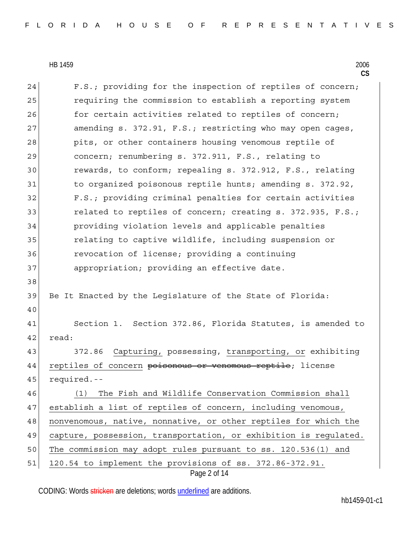|    | $\mathsf{CS}$                                                    |
|----|------------------------------------------------------------------|
| 24 | F.S.; providing for the inspection of reptiles of concern;       |
| 25 | requiring the commission to establish a reporting system         |
| 26 | for certain activities related to reptiles of concern;           |
| 27 | amending s. 372.91, F.S.; restricting who may open cages,        |
| 28 | pits, or other containers housing venomous reptile of            |
| 29 | concern; renumbering s. 372.911, F.S., relating to               |
| 30 | rewards, to conform; repealing s. 372.912, F.S., relating        |
| 31 | to organized poisonous reptile hunts; amending s. 372.92,        |
| 32 | F.S.; providing criminal penalties for certain activities        |
| 33 | related to reptiles of concern; creating s. 372.935, F.S.;       |
| 34 | providing violation levels and applicable penalties              |
| 35 | relating to captive wildlife, including suspension or            |
| 36 | revocation of license; providing a continuing                    |
| 37 | appropriation; providing an effective date.                      |
| 38 |                                                                  |
| 39 | Be It Enacted by the Legislature of the State of Florida:        |
| 40 |                                                                  |
| 41 | Section 1. Section 372.86, Florida Statutes, is amended to       |
| 42 | read:                                                            |
| 43 | Capturing, possessing, transporting, or exhibiting<br>372.86     |
| 44 | reptiles of concern poisonous or venomous reptile; license       |
| 45 | required.--                                                      |
| 46 | The Fish and Wildlife Conservation Commission shall<br>(1)       |
| 47 | establish a list of reptiles of concern, including venomous,     |
| 48 | nonvenomous, native, nonnative, or other reptiles for which the  |
| 49 | capture, possession, transportation, or exhibition is regulated. |
| 50 | The commission may adopt rules pursuant to ss. 120.536(1) and    |
| 51 | 120.54 to implement the provisions of ss. 372.86-372.91.         |
|    | Page 2 of 14                                                     |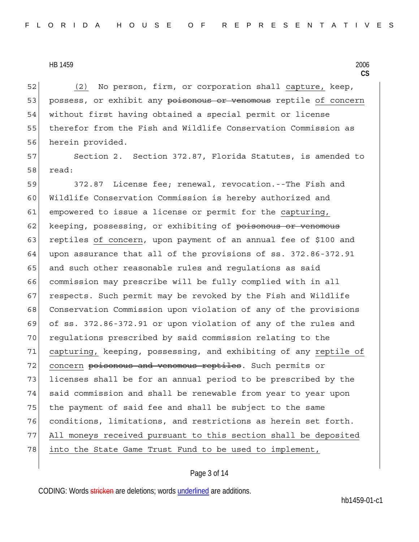52 (2) No person, firm, or corporation shall capture, keep, 53 possess, or exhibit any poisonous or venomous reptile of concern 54 without first having obtained a special permit or license 55 therefor from the Fish and Wildlife Conservation Commission as 56 herein provided.

57 Section 2. Section 372.87, Florida Statutes, is amended to 58 read:

59 372.87 License fee; renewal, revocation.--The Fish and 60 Wildlife Conservation Commission is hereby authorized and 61 empowered to issue a license or permit for the capturing, 62 keeping, possessing, or exhibiting of <del>poisonous or venomous</del> 63 reptiles of concern, upon payment of an annual fee of \$100 and 64 upon assurance that all of the provisions of ss. 372.86-372.91 65 and such other reasonable rules and requiations as said 66 commission may prescribe will be fully complied with in all 67 respects. Such permit may be revoked by the Fish and Wildlife 68 Conservation Commission upon violation of any of the provisions 69 of ss. 372.86-372.91 or upon violation of any of the rules and 70 regulations prescribed by said commission relating to the 71 capturing, keeping, possessing, and exhibiting of any reptile of 72 concern poisonous and venomous reptiles. Such permits or 73 licenses shall be for an annual period to be prescribed by the 74 said commission and shall be renewable from year to year upon 75 the payment of said fee and shall be subject to the same 76 conditions, limitations, and restrictions as herein set forth. 77 All moneys received pursuant to this section shall be deposited 78 into the State Game Trust Fund to be used to implement,

## Page 3 of 14

CODING: Words stricken are deletions; words underlined are additions.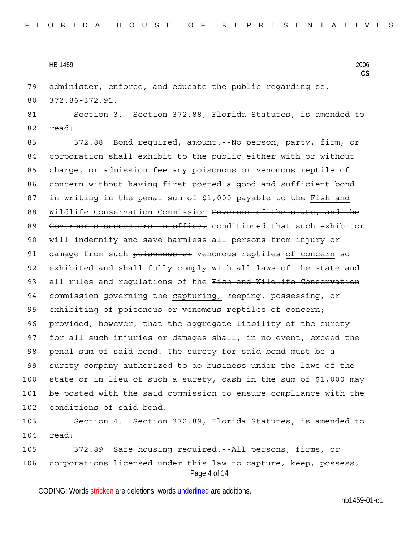79 administer, enforce, and educate the public regarding ss.

# 80 372.86-372.91.

81 Section 3. Section 372.88, Florida Statutes, is amended to 82 read:

83 372.88 Bond required, amount.--No person, party, firm, or 84 corporation shall exhibit to the public either with or without 85 charge, or admission fee any poisonous or venomous reptile of 86 concern without having first posted a good and sufficient bond 87 in writing in the penal sum of \$1,000 payable to the Fish and 88 Wildlife Conservation Commission Governor of the state, and the 89 Governor's successors in office, conditioned that such exhibitor 90 will indemnify and save harmless all persons from injury or 91 damage from such poisonous or venomous reptiles of concern so 92 exhibited and shall fully comply with all laws of the state and 93 all rules and regulations of the Fish and Wildlife Conservation 94 commission governing the capturing, keeping, possessing, or 95 exhibiting of poisonous or venomous reptiles of concern; 96 provided, however, that the aggregate liability of the surety 97 for all such injuries or damages shall, in no event, exceed the 98 penal sum of said bond. The surety for said bond must be a 99 surety company authorized to do business under the laws of the 100 state or in lieu of such a surety, cash in the sum of \$1,000 may 101 be posted with the said commission to ensure compliance with the 102 conditions of said bond.

103 Section 4. Section 372.89, Florida Statutes, is amended to  $104$  read:

Page 4 of 14 105 372.89 Safe housing required.--All persons, firms, or 106 corporations licensed under this law to capture, keep, possess,

CODING: Words stricken are deletions; words underlined are additions.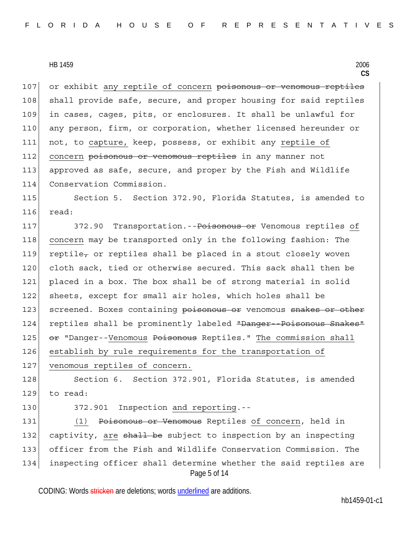107 or exhibit any reptile of concern poisonous or venomous reptiles 108 shall provide safe, secure, and proper housing for said reptiles 109 in cases, cages, pits, or enclosures. It shall be unlawful for 110 any person, firm, or corporation, whether licensed hereunder or 111 not, to capture, keep, possess, or exhibit any reptile of 112 concern poisonous or venomous reptiles in any manner not 113 approved as safe, secure, and proper by the Fish and Wildlife 114 Conservation Commission.

115 Section 5. Section 372.90, Florida Statutes, is amended to 116 read:

117 372.90 Transportation.--<del>Poisonous or</del> Venomous reptiles of 118 concern may be transported only in the following fashion: The 119 reptile, or reptiles shall be placed in a stout closely woven 120 cloth sack, tied or otherwise secured. This sack shall then be 121 placed in a box. The box shall be of strong material in solid 122 sheets, except for small air holes, which holes shall be 123 screened. Boxes containing poisonous or venomous snakes or other 124 reptiles shall be prominently labeled "Danger Poisonous Snakes" 125 |  $\Theta$  = "Danger--Venomous <del>Poisonous</del> Reptiles." The commission shall 126 establish by rule requirements for the transportation of 127 venomous reptiles of concern.

128 Section 6. Section 372.901, Florida Statutes, is amended 129 to read:

130 372.901 Inspection and reporting.--

Page 5 of 14 131 (1) Poisonous or Venomous Reptiles of concern, held in 132 captivity, are shall be subject to inspection by an inspecting 133 officer from the Fish and Wildlife Conservation Commission. The 134 inspecting officer shall determine whether the said reptiles are

CODING: Words stricken are deletions; words underlined are additions.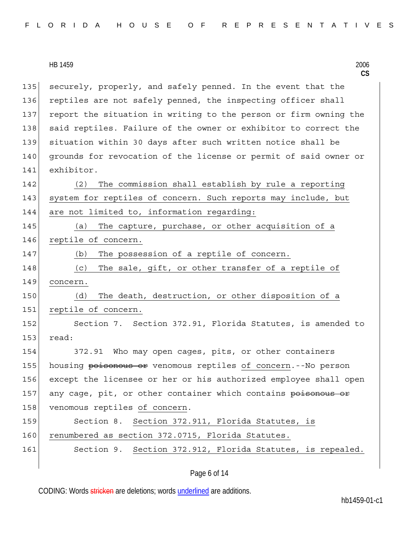| FLORIDA HOUSE OF REPRESENTATIVES |  |  |  |  |  |  |  |  |  |  |  |  |  |  |  |  |  |  |  |  |  |  |  |  |  |  |  |  |  |  |
|----------------------------------|--|--|--|--|--|--|--|--|--|--|--|--|--|--|--|--|--|--|--|--|--|--|--|--|--|--|--|--|--|--|
|----------------------------------|--|--|--|--|--|--|--|--|--|--|--|--|--|--|--|--|--|--|--|--|--|--|--|--|--|--|--|--|--|--|

135 securely, properly, and safely penned. In the event that the 136 reptiles are not safely penned, the inspecting officer shall 137 report the situation in writing to the person or firm owning the 138 said reptiles. Failure of the owner or exhibitor to correct the 139 situation within 30 days after such written notice shall be 140 grounds for revocation of the license or permit of said owner or 141 exhibitor.

142 (2) The commission shall establish by rule a reporting 143 system for reptiles of concern. Such reports may include, but 144 are not limited to, information regarding:

145 (a) The capture, purchase, or other acquisition of a 146 reptile of concern.

147 (b) The possession of a reptile of concern.

148 (c) The sale, gift, or other transfer of a reptile of 149 concern.

150 (d) The death, destruction, or other disposition of a 151 reptile of concern.

152 Section 7. Section 372.91, Florida Statutes, is amended to 153 read:

154 372.91 Who may open cages, pits, or other containers 155 housing poisonous or venomous reptiles of concern.--No person 156 except the licensee or her or his authorized employee shall open 157 any cage, pit, or other container which contains poisonous or 158 venomous reptiles of concern.

159 Section 8. Section 372.911, Florida Statutes, is 160 renumbered as section 372.0715, Florida Statutes.

161 Section 9. Section 372.912, Florida Statutes, is repealed.

CODING: Words stricken are deletions; words underlined are additions.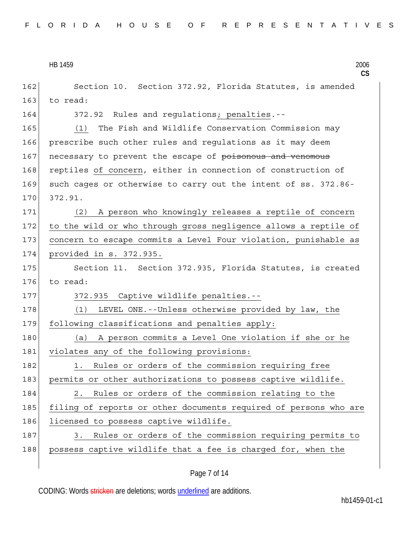```
HB 1459 2006
```
**CS** 162 Section 10. Section 372.92, Florida Statutes, is amended 163 to read: 164 372.92 Rules and regulations; penalties.-- 165 (1) The Fish and Wildlife Conservation Commission may 166 prescribe such other rules and regulations as it may deem 167 necessary to prevent the escape of poisonous and venomous 168 reptiles of concern, either in connection of construction of 169 such cages or otherwise to carry out the intent of ss. 372.86-170 372.91. 171 (2) A person who knowingly releases a reptile of concern 172 to the wild or who through gross negligence allows a reptile of 173 concern to escape commits a Level Four violation, punishable as 174 provided in s. 372.935. 175 Section 11. Section 372.935, Florida Statutes, is created 176 to read: 177 372.935 Captive wildlife penalties.--178 (1) LEVEL ONE.--Unless otherwise provided by law, the 179 following classifications and penalties apply: 180 (a) A person commits a Level One violation if she or he 181 violates any of the following provisions: 182 1. Rules or orders of the commission requiring free 183 permits or other authorizations to possess captive wildlife. 184 2. Rules or orders of the commission relating to the 185 filing of reports or other documents required of persons who are 186 licensed to possess captive wildlife. 187 3. Rules or orders of the commission requiring permits to 188 possess captive wildlife that a fee is charged for, when the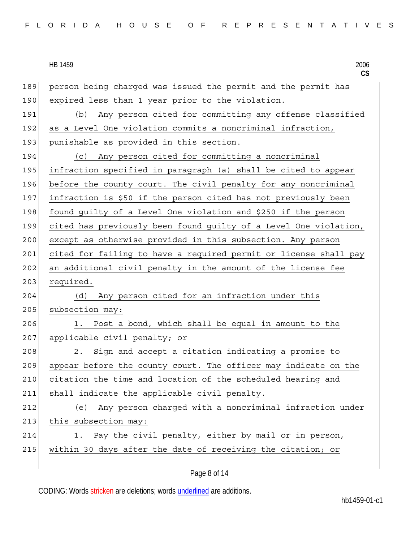**CS** 189 person being charged was issued the permit and the permit has 190 expired less than 1 year prior to the violation. 191 (b) Any person cited for committing any offense classified 192 as a Level One violation commits a noncriminal infraction, 193 punishable as provided in this section. 194 (c) Any person cited for committing a noncriminal 195 infraction specified in paragraph (a) shall be cited to appear 196 before the county court. The civil penalty for any noncriminal 197 infraction is \$50 if the person cited has not previously been 198 found guilty of a Level One violation and \$250 if the person 199 cited has previously been found guilty of a Level One violation, 200 except as otherwise provided in this subsection. Any person 201 cited for failing to have a required permit or license shall pay 202 an additional civil penalty in the amount of the license fee 203 required. 204 (d) Any person cited for an infraction under this 205 subsection may: 206 1. Post a bond, which shall be equal in amount to the 207 applicable civil penalty; or 208 2. Sign and accept a citation indicating a promise to 209 appear before the county court. The officer may indicate on the 210 citation the time and location of the scheduled hearing and 211 shall indicate the applicable civil penalty. 212 (e) Any person charged with a noncriminal infraction under 213 this subsection may: 214 1. Pay the civil penalty, either by mail or in person, 215 within 30 days after the date of receiving the citation; or

Page 8 of 14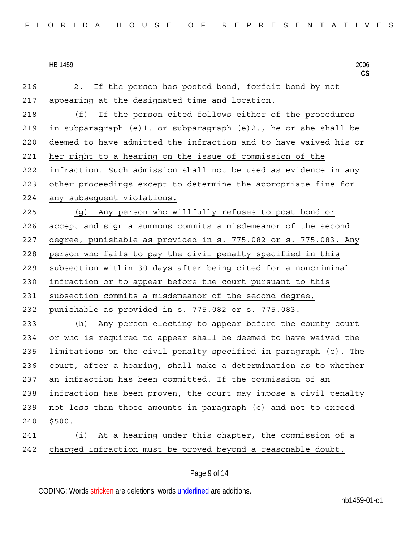216 2. If the person has posted bond, forfeit bond by not 217 appearing at the designated time and location. 218 (f) If the person cited follows either of the procedures 219 in subparagraph (e)1. or subparagraph (e)2., he or she shall be 220 deemed to have admitted the infraction and to have waived his or 221 her right to a hearing on the issue of commission of the 222 infraction. Such admission shall not be used as evidence in any 223 other proceedings except to determine the appropriate fine for 224 any subsequent violations. 225 (g) Any person who willfully refuses to post bond or 226 accept and sign a summons commits a misdemeanor of the second 227 degree, punishable as provided in s. 775.082 or s. 775.083. Any 228 person who fails to pay the civil penalty specified in this 229 subsection within 30 days after being cited for a noncriminal 230 infraction or to appear before the court pursuant to this 231 subsection commits a misdemeanor of the second degree, 232 punishable as provided in s. 775.082 or s. 775.083. 233 (h) Any person electing to appear before the county court 234 or who is required to appear shall be deemed to have waived the 235 limitations on the civil penalty specified in paragraph (c). The 236 court, after a hearing, shall make a determination as to whether 237 an infraction has been committed. If the commission of an 238 infraction has been proven, the court may impose a civil penalty  $239$  not less than those amounts in paragraph (c) and not to exceed  $240 \mid 5500.$ 241 (i) At a hearing under this chapter, the commission of a 242 charged infraction must be proved beyond a reasonable doubt.

CODING: Words stricken are deletions; words underlined are additions.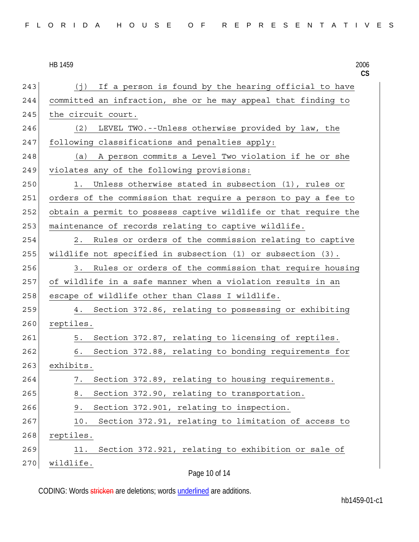| FLORIDA HOUSE OF REPRESENTATIVES |  |  |  |  |  |  |  |  |  |  |  |  |  |  |  |  |  |  |  |  |  |  |  |  |  |  |  |  |  |  |  |
|----------------------------------|--|--|--|--|--|--|--|--|--|--|--|--|--|--|--|--|--|--|--|--|--|--|--|--|--|--|--|--|--|--|--|
|----------------------------------|--|--|--|--|--|--|--|--|--|--|--|--|--|--|--|--|--|--|--|--|--|--|--|--|--|--|--|--|--|--|--|

# HB 1459

|     | HB 1459<br>2006<br>$\mathsf{CS}$                                 |
|-----|------------------------------------------------------------------|
| 243 | If a person is found by the hearing official to have<br>(j)      |
| 244 | committed an infraction, she or he may appeal that finding to    |
| 245 | the circuit court.                                               |
| 246 | LEVEL TWO.--Unless otherwise provided by law, the<br>(2)         |
| 247 | following classifications and penalties apply:                   |
| 248 | (a) A person commits a Level Two violation if he or she          |
| 249 | violates any of the following provisions:                        |
| 250 | Unless otherwise stated in subsection (1), rules or<br>1.        |
| 251 | orders of the commission that require a person to pay a fee to   |
| 252 | obtain a permit to possess captive wildlife or that require the  |
| 253 | maintenance of records relating to captive wildlife.             |
| 254 | Rules or orders of the commission relating to captive<br>2.      |
| 255 | wildlife not specified in subsection $(1)$ or subsection $(3)$ . |
| 256 | Rules or orders of the commission that require housing<br>3.     |
| 257 | of wildlife in a safe manner when a violation results in an      |
| 258 | escape of wildlife other than Class I wildlife.                  |
| 259 | 4. Section 372.86, relating to possessing or exhibiting          |
| 260 | reptiles.                                                        |
| 261 | Section 372.87, relating to licensing of reptiles.<br>5.         |
| 262 | Section 372.88, relating to bonding requirements for<br>6.       |
| 263 | exhibits.                                                        |
| 264 | Section 372.89, relating to housing requirements.<br>7.          |
| 265 | Section 372.90, relating to transportation.<br>8.                |
| 266 | Section 372.901, relating to inspection.<br>9.                   |
| 267 | Section 372.91, relating to limitation of access to<br>10.       |
| 268 | reptiles.                                                        |
| 269 | Section 372.921, relating to exhibition or sale of<br>11.        |
| 270 | wildlife.                                                        |
|     | Page 10 of 14                                                    |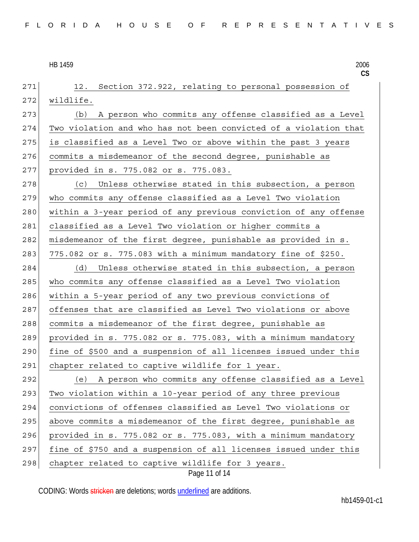**CS** Page 11 of 14 271 12. Section 372.922, relating to personal possession of 272 wildlife. 273 (b) A person who commits any offense classified as a Level 274 Two violation and who has not been convicted of a violation that 275 is classified as a Level Two or above within the past 3 years 276 commits a misdemeanor of the second degree, punishable as 277 provided in s. 775.082 or s. 775.083. 278 (c) Unless otherwise stated in this subsection, a person 279 who commits any offense classified as a Level Two violation 280 within a 3-year period of any previous conviction of any offense 281 classified as a Level Two violation or higher commits a 282 misdemeanor of the first degree, punishable as provided in s. 283 775.082 or s. 775.083 with a minimum mandatory fine of \$250. 284 (d) Unless otherwise stated in this subsection, a person 285 who commits any offense classified as a Level Two violation 286 within a 5-year period of any two previous convictions of 287 offenses that are classified as Level Two violations or above 288 commits a misdemeanor of the first degree, punishable as 289 provided in s. 775.082 or s. 775.083, with a minimum mandatory 290 fine of \$500 and a suspension of all licenses issued under this 291 chapter related to captive wildlife for 1 year. 292 (e) A person who commits any offense classified as a Level 293 Two violation within a 10-year period of any three previous 294 convictions of offenses classified as Level Two violations or 295 above commits a misdemeanor of the first degree, punishable as  $296$  provided in s. 775.082 or s. 775.083, with a minimum mandatory 297 fine of \$750 and a suspension of all licenses issued under this 298 chapter related to captive wildlife for 3 years.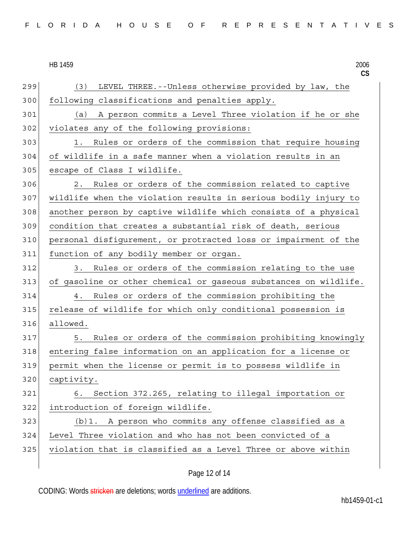| FLORIDA HOUSE OF REPRESENTATIVES |
|----------------------------------|
|----------------------------------|

|     | 2006<br>HB 1459<br>CS                                            |
|-----|------------------------------------------------------------------|
| 299 | LEVEL THREE. -- Unless otherwise provided by law, the<br>(3)     |
| 300 | following classifications and penalties apply.                   |
| 301 | A person commits a Level Three violation if he or she<br>(a)     |
| 302 | violates any of the following provisions:                        |
| 303 | Rules or orders of the commission that require housing<br>1.     |
| 304 | of wildlife in a safe manner when a violation results in an      |
| 305 | escape of Class I wildlife.                                      |
| 306 | Rules or orders of the commission related to captive<br>2.       |
| 307 | wildlife when the violation results in serious bodily injury to  |
| 308 | another person by captive wildlife which consists of a physical  |
| 309 | condition that creates a substantial risk of death, serious      |
| 310 | personal disfigurement, or protracted loss or impairment of the  |
| 311 | function of any bodily member or organ.                          |
| 312 | Rules or orders of the commission relating to the use<br>3.      |
| 313 | of gasoline or other chemical or gaseous substances on wildlife. |
| 314 | Rules or orders of the commission prohibiting the<br>4.          |
| 315 | release of wildlife for which only conditional possession is     |
| 316 | allowed.                                                         |
| 317 | Rules or orders of the commission prohibiting knowingly<br>5.    |
| 318 | entering false information on an application for a license or    |
| 319 | permit when the license or permit is to possess wildlife in      |
| 320 | captivity.                                                       |
| 321 | Section 372.265, relating to illegal importation or<br>6.        |
| 322 | introduction of foreign wildlife.                                |
| 323 | (b)1. A person who commits any offense classified as a           |
| 324 | Level Three violation and who has not been convicted of a        |
| 325 | violation that is classified as a Level Three or above within    |
|     |                                                                  |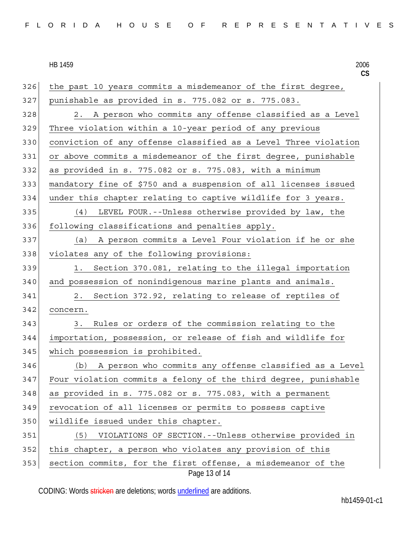**CS** Page 13 of 14 326 the past 10 years commits a misdemeanor of the first degree, 327 punishable as provided in s. 775.082 or s. 775.083. 328 2. A person who commits any offense classified as a Level 329 Three violation within a 10-year period of any previous 330 conviction of any offense classified as a Level Three violation 331 or above commits a misdemeanor of the first degree, punishable  $332$  as provided in s. 775.082 or s. 775.083, with a minimum 333 mandatory fine of \$750 and a suspension of all licenses issued 334 under this chapter relating to captive wildlife for 3 years. 335 (4) LEVEL FOUR.--Unless otherwise provided by law, the 336 following classifications and penalties apply. 337 (a) A person commits a Level Four violation if he or she 338 violates any of the following provisions: 339 1. Section 370.081, relating to the illegal importation 340 and possession of nonindigenous marine plants and animals. 341 2. Section 372.92, relating to release of reptiles of 342 concern. 343 3. Rules or orders of the commission relating to the 344 importation, possession, or release of fish and wildlife for 345 which possession is prohibited. 346 (b) A person who commits any offense classified as a Level 347 Four violation commits a felony of the third degree, punishable  $348$  as provided in s. 775.082 or s. 775.083, with a permanent 349 revocation of all licenses or permits to possess captive 350 wildlife issued under this chapter. 351 (5) VIOLATIONS OF SECTION.--Unless otherwise provided in 352 this chapter, a person who violates any provision of this 353 section commits, for the first offense, a misdemeanor of the